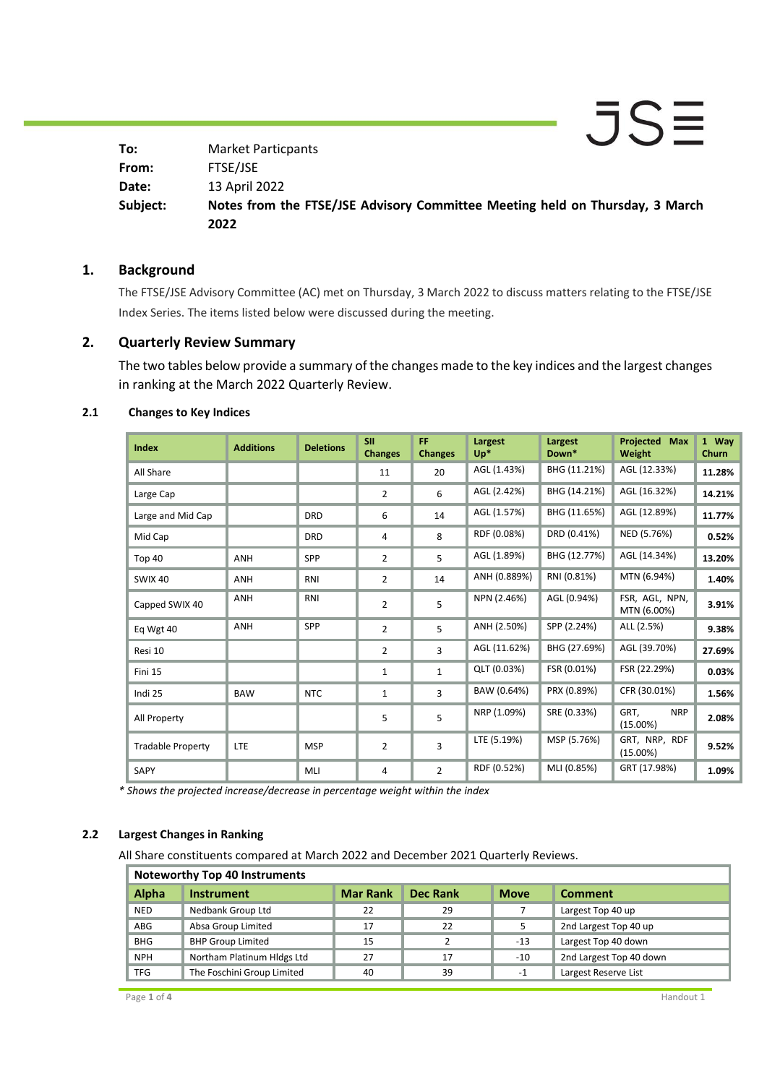$\bar{J}S\bar{=}$ **To:** Market Particpants **From:** FTSE/JSE **Date:** 13 April 2022 **Notes from the FTSE/JSE Advisory Committee Meeting held on Thursday, 3 March Subject: 2022**

## **1. Background**

The FTSE/JSE Advisory Committee (AC) met on Thursday, 3 March 2022 to discuss matters relating to the FTSE/JSE Index Series. The items listed below were discussed during the meeting.

## **2. Quarterly Review Summary**

The two tables below provide a summary of the changes made to the key indices and the largest changes in ranking at the March 2022 Quarterly Review.

| <b>Index</b>             | <b>Additions</b> | <b>Deletions</b> | <b>SII</b><br><b>Changes</b> | <b>FF</b><br><b>Changes</b> | Largest<br>$Up^*$ | Largest<br>Down* | <b>Projected Max</b><br>Weight    | 1 Way<br>Churn |
|--------------------------|------------------|------------------|------------------------------|-----------------------------|-------------------|------------------|-----------------------------------|----------------|
| All Share                |                  |                  | 11                           | 20                          | AGL (1.43%)       | BHG (11.21%)     | AGL (12.33%)                      | 11.28%         |
| Large Cap                |                  |                  | $\overline{2}$               | 6                           | AGL (2.42%)       | BHG (14.21%)     | AGL (16.32%)                      | 14.21%         |
| Large and Mid Cap        |                  | <b>DRD</b>       | 6                            | 14                          | AGL (1.57%)       | BHG (11.65%)     | AGL (12.89%)                      | 11.77%         |
| Mid Cap                  |                  | <b>DRD</b>       | 4                            | 8                           | RDF (0.08%)       | DRD (0.41%)      | NED (5.76%)                       | 0.52%          |
| Top 40                   | ANH              | SPP              | $\overline{2}$               | 5                           | AGL (1.89%)       | BHG (12.77%)     | AGL (14.34%)                      | 13.20%         |
| <b>SWIX 40</b>           | ANH              | RNI              | $\overline{2}$               | 14                          | ANH (0.889%)      | RNI (0.81%)      | MTN (6.94%)                       | 1.40%          |
| Capped SWIX 40           | ANH              | RNI              | $\overline{2}$               | 5                           | NPN (2.46%)       | AGL (0.94%)      | FSR, AGL, NPN,<br>MTN (6.00%)     | 3.91%          |
| Eq Wgt 40                | <b>ANH</b>       | <b>SPP</b>       | $\overline{2}$               | 5                           | ANH (2.50%)       | SPP (2.24%)      | ALL (2.5%)                        | 9.38%          |
| Resi 10                  |                  |                  | $\overline{2}$               | 3                           | AGL (11.62%)      | BHG (27.69%)     | AGL (39.70%)                      | 27.69%         |
| Fini 15                  |                  |                  | 1                            | $\mathbf{1}$                | QLT (0.03%)       | FSR (0.01%)      | FSR (22.29%)                      | 0.03%          |
| Indi 25                  | <b>BAW</b>       | <b>NTC</b>       | $\mathbf{1}$                 | 3                           | BAW (0.64%)       | PRX (0.89%)      | CFR (30.01%)                      | 1.56%          |
| All Property             |                  |                  | 5                            | 5                           | NRP (1.09%)       | SRE (0.33%)      | GRT,<br><b>NRP</b><br>$(15.00\%)$ | 2.08%          |
| <b>Tradable Property</b> | LTE              | <b>MSP</b>       | $\overline{2}$               | 3                           | LTE (5.19%)       | MSP (5.76%)      | GRT, NRP, RDF<br>$(15.00\%)$      | 9.52%          |
| SAPY                     |                  | MLI              | 4                            | $\overline{2}$              | RDF (0.52%)       | MLI (0.85%)      | GRT (17.98%)                      | 1.09%          |

#### **2.1 Changes to Key Indices**

*\* Shows the projected increase/decrease in percentage weight within the index*

#### **2.2 Largest Changes in Ranking**

All Share constituents compared at March 2022 and December 2021 Quarterly Reviews.

## **Noteworthy Top 40 Instruments Alpha Instrument Mar Rank Dec Rank Move Comment** NED Nedbank Group Ltd 22 29 7 Largest Top 40 up ABG Absa Group Limited 17 22 3 2nd Largest Top 40 up BHG BHP Group Limited 15 15 2 13 Largest Top 40 down NPH Northam Platinum Hldgs Ltd 27 17 17 -10 2nd Largest Top 40 down TFG The Foschini Group Limited 40 40 39 -1 Largest Reserve List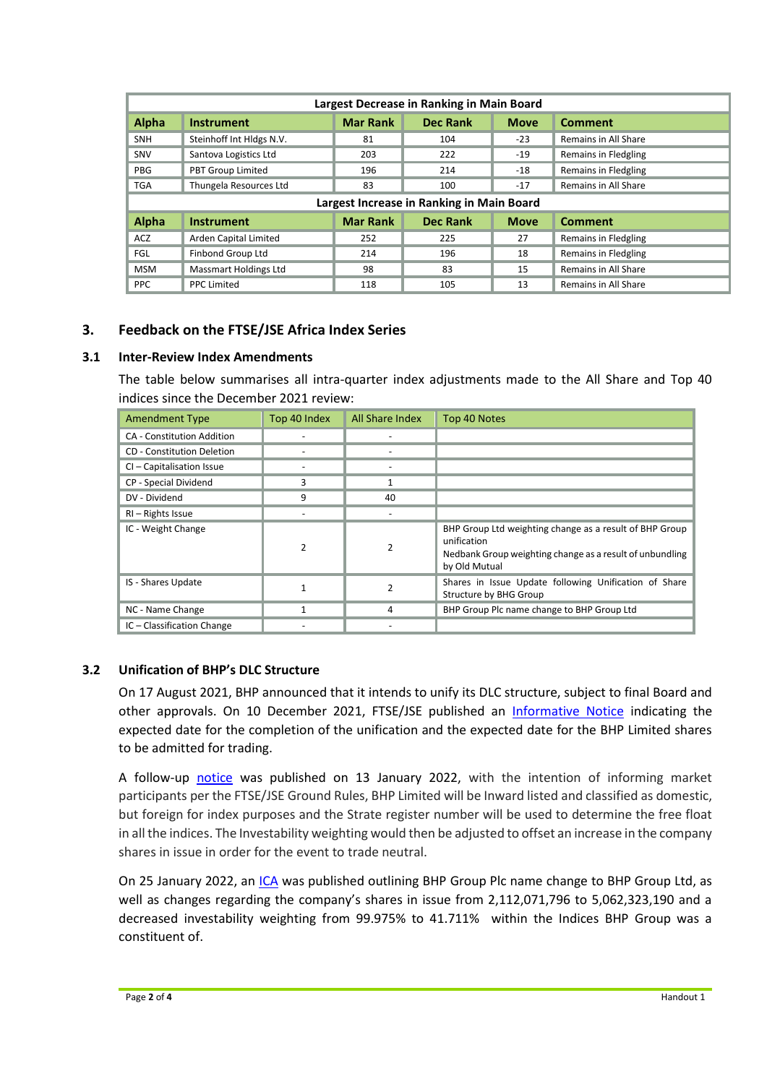| Largest Decrease in Ranking in Main Board |                              |                 |                 |             |                      |  |  |
|-------------------------------------------|------------------------------|-----------------|-----------------|-------------|----------------------|--|--|
| <b>Alpha</b>                              | <b>Instrument</b>            | <b>Mar Rank</b> | Dec Rank        | <b>Move</b> | <b>Comment</b>       |  |  |
| <b>SNH</b>                                | Steinhoff Int Hldgs N.V.     | 81              | 104             | $-23$       | Remains in All Share |  |  |
| SNV                                       | Santova Logistics Ltd        | 203             | 222             | $-19$       | Remains in Fledgling |  |  |
| PBG                                       | <b>PBT Group Limited</b>     | 196             | 214             | $-18$       | Remains in Fledgling |  |  |
| <b>TGA</b>                                | Thungela Resources Ltd       | 83              | 100             | $-17$       | Remains in All Share |  |  |
| Largest Increase in Ranking in Main Board |                              |                 |                 |             |                      |  |  |
| <b>Alpha</b>                              | <b>Instrument</b>            | <b>Mar Rank</b> | <b>Dec Rank</b> | <b>Move</b> | <b>Comment</b>       |  |  |
| <b>ACZ</b>                                | Arden Capital Limited        | 252             | 225             | 27          | Remains in Fledgling |  |  |
| <b>FGL</b>                                | Finbond Group Ltd            | 214             | 196             | 18          | Remains in Fledgling |  |  |
| <b>MSM</b>                                | <b>Massmart Holdings Ltd</b> | 98              | 83              | 15          | Remains in All Share |  |  |
| <b>PPC</b>                                | <b>PPC Limited</b>           | 118             | 105             | 13          | Remains in All Share |  |  |

# **3. Feedback on the FTSE/JSE Africa Index Series**

## **3.1 Inter-Review Index Amendments**

The table below summarises all intra-quarter index adjustments made to the All Share and Top 40 indices since the December 2021 review:

| <b>Amendment Type</b>             | Top 40 Index  | All Share Index | Top 40 Notes                                                                                                                                        |
|-----------------------------------|---------------|-----------------|-----------------------------------------------------------------------------------------------------------------------------------------------------|
| <b>CA</b> - Constitution Addition |               |                 |                                                                                                                                                     |
| <b>CD</b> - Constitution Deletion |               |                 |                                                                                                                                                     |
| CI - Capitalisation Issue         |               |                 |                                                                                                                                                     |
| CP - Special Dividend             | 3             |                 |                                                                                                                                                     |
| DV - Dividend                     | 9             | 40              |                                                                                                                                                     |
| RI - Rights Issue                 |               |                 |                                                                                                                                                     |
| IC - Weight Change                | $\mathcal{P}$ | 2               | BHP Group Ltd weighting change as a result of BHP Group<br>unification<br>Nedbank Group weighting change as a result of unbundling<br>by Old Mutual |
| IS - Shares Update                |               | 2               | Shares in Issue Update following Unification of Share<br>Structure by BHG Group                                                                     |
| NC - Name Change                  |               | 4               | BHP Group Plc name change to BHP Group Ltd                                                                                                          |
| IC - Classification Change        |               |                 |                                                                                                                                                     |

## **3.2 Unification of BHP's DLC Structure**

On 17 August 2021, BHP announced that it intends to unify its DLC structure, subject to final Board and other approvals. On 10 December 2021, FTSE/JSE published an [Informative Notice](https://clientportal.jse.co.za/Content/ICANoticeItems/FTSE-JSE-Africa/20211210%20BHP%20Unification%20of%20DLC%20Structure%20-%20Informative%20Notice.pdf) indicating the expected date for the completion of the unification and the expected date for the BHP Limited shares to be admitted for trading.

A follow-up [notice](https://clientportal.jse.co.za/Content/ICANoticeItems/FTSE-JSE-Africa/20220113%20Unification%20of%20BHP%E2%80%99s%20DLC%20Structure%20-%20Informative%20Notice%20Further%20Update.pdf) was published on 13 January 2022, with the intention of informing market participants per the FTSE/JSE Ground Rules, BHP Limited will be Inward listed and classified as domestic, but foreign for index purposes and the Strate register number will be used to determine the free float in all the indices. The Investability weighting would then be adjusted to offset an increase in the company shares in issue in order for the event to trade neutral.

On 25 January 2022, an [ICA](https://clientportal.jse.co.za/Content/ICANoticeItems/FTSE-JSE-Africa/20220131%20BHP%20Group%20Treatment%20in%20the%20Indices.pdf) was published outlining BHP Group Plc name change to BHP Group Ltd, as well as changes regarding the company's shares in issue from 2,112,071,796 to 5,062,323,190 and a decreased investability weighting from 99.975% to 41.711% within the Indices BHP Group was a constituent of.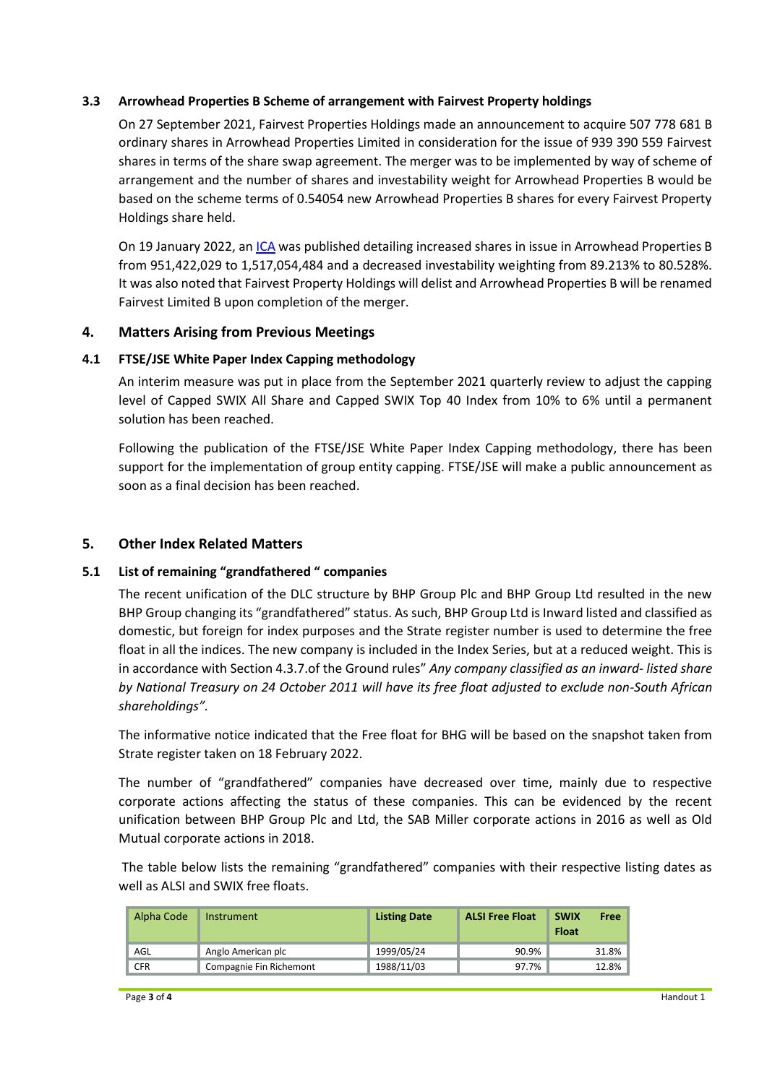## **3.3 Arrowhead Properties B Scheme of arrangement with Fairvest Property holdings**

On 27 September 2021, Fairvest Properties Holdings made an announcement to acquire 507 778 681 B ordinary shares in Arrowhead Properties Limited in consideration for the issue of 939 390 559 Fairvest shares in terms of the share swap agreement. The merger was to be implemented by way of scheme of arrangement and the number of shares and investability weight for Arrowhead Properties B would be based on the scheme terms of 0.54054 new Arrowhead Properties B shares for every Fairvest Property Holdings share held.

On 19 January 2022, a[n ICA](https://clientportal.jse.co.za/Content/ICANoticeItems/FTSE-JSE-Africa/20220126%20Arrowhead%20Properties%20B%20Scheme%20of%20Arrangement%20with%20Fairvest.pdf) was published detailing increased shares in issue in Arrowhead Properties B from 951,422,029 to 1,517,054,484 and a decreased investability weighting from 89.213% to 80.528%. It was also noted that Fairvest Property Holdings will delist and Arrowhead Properties B will be renamed Fairvest Limited B upon completion of the merger.

## **4. Matters Arising from Previous Meetings**

## **4.1 FTSE/JSE White Paper Index Capping methodology**

An interim measure was put in place from the September 2021 quarterly review to adjust the capping level of Capped SWIX All Share and Capped SWIX Top 40 Index from 10% to 6% until a permanent solution has been reached.

Following the publication of the FTSE/JSE White Paper Index Capping methodology, there has been support for the implementation of group entity capping. FTSE/JSE will make a public announcement as soon as a final decision has been reached.

## **5. Other Index Related Matters**

#### **5.1 List of remaining "grandfathered " companies**

The recent unification of the DLC structure by BHP Group Plc and BHP Group Ltd resulted in the new BHP Group changing its "grandfathered" status. As such, BHP Group Ltd is Inward listed and classified as domestic, but foreign for index purposes and the Strate register number is used to determine the free float in all the indices. The new company is included in the Index Series, but at a reduced weight. This is in accordance with Section 4.3.7.of the Ground rules" *Any company classified as an inward- listed share by National Treasury on 24 October 2011 will have its free float adjusted to exclude non-South African shareholdings".*

The informative notice indicated that the Free float for BHG will be based on the snapshot taken from Strate register taken on 18 February 2022.

The number of "grandfathered" companies have decreased over time, mainly due to respective corporate actions affecting the status of these companies. This can be evidenced by the recent unification between BHP Group Plc and Ltd, the SAB Miller corporate actions in 2016 as well as Old Mutual corporate actions in 2018.

The table below lists the remaining "grandfathered" companies with their respective listing dates as well as ALSI and SWIX free floats.

| Alpha Code | <b>Instrument</b>       | <b>Listing Date</b> | <b>ALSI Free Float</b> | <b>SWIX</b><br>Free<br><b>Float</b> |
|------------|-------------------------|---------------------|------------------------|-------------------------------------|
| AGL        | Anglo American plc      | 1999/05/24          | 90.9%                  | 31.8%                               |
| <b>CFR</b> | Compagnie Fin Richemont | 1988/11/03          | 97.7%                  | 12.8%                               |